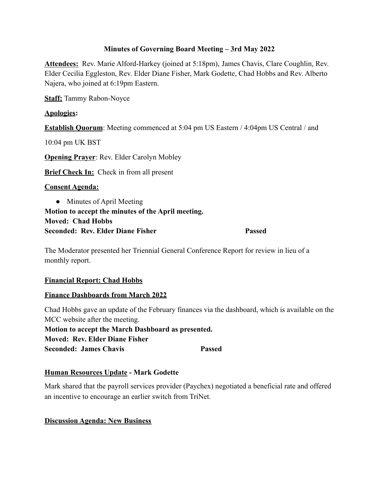#### **Minutes of Governing Board Meeting – 3rd May 2022**

**Attendees:** Rev. Marie Alford-Harkey (joined at 5:18pm), James Chavis, Clare Coughlin, Rev. Elder Cecilia Eggleston, Rev. Elder Diane Fisher, Mark Godette, Chad Hobbs and Rev. Alberto Najera, who joined at 6:19pm Eastern.

**Staff:** Tammy Rabon-Noyce

## **Apologies:**

**Establish Quorum**: Meeting commenced at 5:04 pm US Eastern / 4:04pm US Central / and

10:04 pm UK BST

**Opening Prayer**: Rev. Elder Carolyn Mobley

**Brief Check In:** Check in from all present

#### **Consent Agenda:**

• Minutes of April Meeting **Motion to accept the minutes of the April meeting. Moved: Chad Hobbs Seconded: Rev. Elder Diane Fisher Passed**

The Moderator presented her Triennial General Conference Report for review in lieu of a monthly report.

#### **Financial Report: Chad Hobbs**

# **Finance Dashboards from March 2022**

Chad Hobbs gave an update of the February finances via the dashboard, which is available on the MCC website after the meeting. **Motion to accept the March Dashboard as presented. Moved: Rev. Elder Diane Fisher Seconded: James Chavis Passed**

# **Human Resources Update - Mark Godette**

Mark shared that the payroll services provider (Paychex) negotiated a beneficial rate and offered an incentive to encourage an earlier switch from TriNet.

#### **Discussion Agenda: New Business**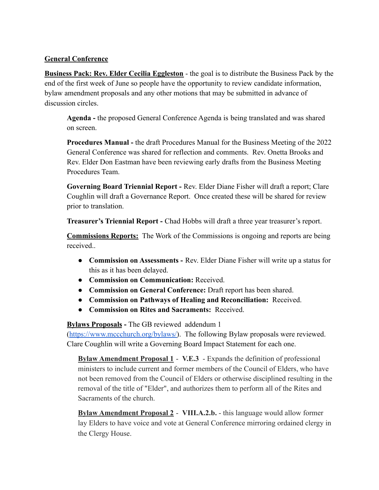#### **General Conference**

**Business Pack: Rev. Elder Cecilia Eggleston** - the goal is to distribute the Business Pack by the end of the first week of June so people have the opportunity to review candidate information, bylaw amendment proposals and any other motions that may be submitted in advance of discussion circles.

**Agenda -** the proposed General Conference Agenda is being translated and was shared on screen.

**Procedures Manual -** the draft Procedures Manual for the Business Meeting of the 2022 General Conference was shared for reflection and comments. Rev. Onetta Brooks and Rev. Elder Don Eastman have been reviewing early drafts from the Business Meeting Procedures Team.

**Governing Board Triennial Report -** Rev. Elder Diane Fisher will draft a report; Clare Coughlin will draft a Governance Report. Once created these will be shared for review prior to translation.

**Treasurer's Triennial Report -** Chad Hobbs will draft a three year treasurer's report.

**Commissions Reports:** The Work of the Commissions is ongoing and reports are being received..

- **Commission on Assessments -** Rev. Elder Diane Fisher will write up a status for this as it has been delayed.
- **Commission on Communication:** Received.
- **Commission on General Conference:** Draft report has been shared.
- **Commission on Pathways of Healing and Reconciliation:** Received.
- **Commission on Rites and Sacraments:** Received.

**Bylaws Proposals -** The GB reviewed addendum 1

([https://www.mccchurch.org/bylaws/\)](https://www.mccchurch.org/bylaws/). The following Bylaw proposals were reviewed. Clare Coughlin will write a Governing Board Impact Statement for each one.

**Bylaw Amendment Proposal 1** - **V.E.3** - Expands the definition of professional ministers to include current and former members of the Council of Elders, who have not been removed from the Council of Elders or otherwise disciplined resulting in the removal of the title of "Elder", and authorizes them to perform all of the Rites and Sacraments of the church.

**Bylaw Amendment Proposal 2** - **VIII.A.2.b.** - this language would allow former lay Elders to have voice and vote at General Conference mirroring ordained clergy in the Clergy House.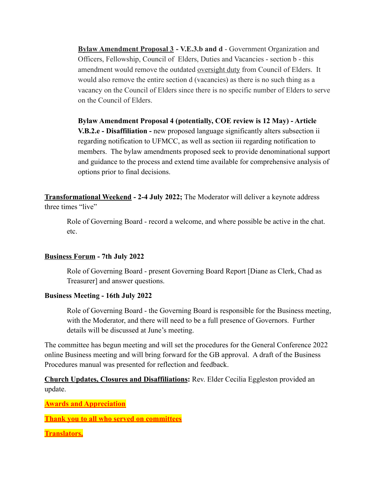**Bylaw Amendment Proposal 3 - V.E.3.b and d** - Government Organization and Officers, Fellowship, Council of Elders, Duties and Vacancies - section b - this amendment would remove the outdated oversight duty from Council of Elders. It would also remove the entire section d (vacancies) as there is no such thing as a vacancy on the Council of Elders since there is no specific number of Elders to serve on the Council of Elders.

**Bylaw Amendment Proposal 4 (potentially, COE review is 12 May) - Article V.B.2.e - Disaffiliation -** new proposed language significantly alters subsection ii regarding notification to UFMCC, as well as section iii regarding notification to members. The bylaw amendments proposed seek to provide denominational support and guidance to the process and extend time available for comprehensive analysis of options prior to final decisions.

**Transformational Weekend - 2-4 July 2022;** The Moderator will deliver a keynote address three times "live"

Role of Governing Board - record a welcome, and where possible be active in the chat. etc.

# **Business Forum - 7th July 2022**

Role of Governing Board - present Governing Board Report [Diane as Clerk, Chad as Treasurer] and answer questions.

#### **Business Meeting - 16th July 2022**

Role of Governing Board - the Governing Board is responsible for the Business meeting, with the Moderator, and there will need to be a full presence of Governors. Further details will be discussed at June's meeting.

The committee has begun meeting and will set the procedures for the General Conference 2022 online Business meeting and will bring forward for the GB approval. A draft of the Business Procedures manual was presented for reflection and feedback.

**Church Updates, Closures and Disaffiliations:** Rev. Elder Cecilia Eggleston provided an update.

**Awards and Appreciation**

**Thank you to all who served on committees**

**Translators,**